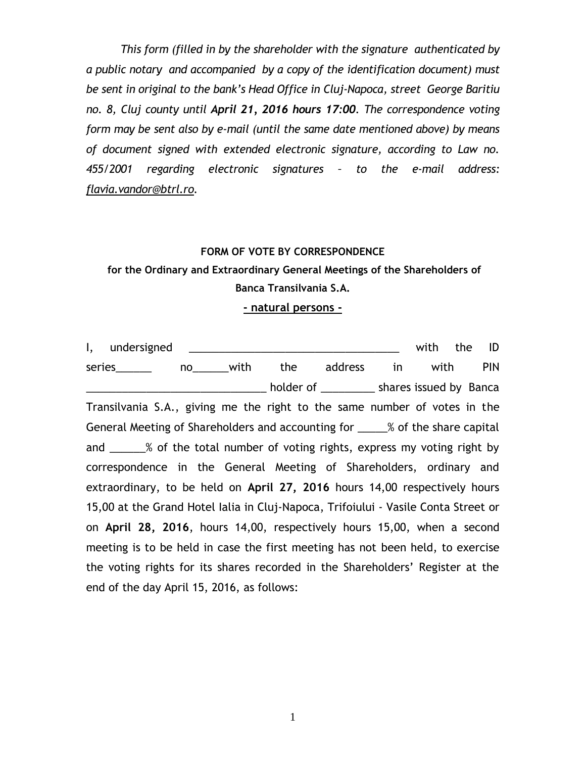*This form (filled in by the shareholder with the signature authenticated by a public notary and accompanied by a copy of the identification document) must be sent in original to the bank's Head Office in Cluj-Napoca, street George Baritiu no. 8, Cluj county until April 21, 2016 hours 17:00. The correspondence voting form may be sent also by e-mail (until the same date mentioned above) by means of document signed with extended electronic signature, according to Law no. 455/2001 regarding electronic signatures – to the e-mail address: [flavia.vandor@btrl.ro.](mailto:flavia.vandor@btrl.ro)*

## **FORM OF VOTE BY CORRESPONDENCE**

## **for the Ordinary and Extraordinary General Meetings of the Shareholders of Banca Transilvania S.A.**

**- natural persons -**

I, undersigned \_\_\_\_\_\_\_\_\_\_\_\_\_\_\_\_\_\_\_\_\_\_\_\_\_\_\_\_\_\_\_\_\_\_\_ with the ID series\_\_\_\_\_\_\_\_ no\_\_\_\_\_\_with the address in with PIN \_\_\_\_\_\_\_\_\_\_\_\_\_\_\_\_\_\_\_\_\_\_\_\_\_\_\_\_\_\_ holder of \_\_\_\_\_\_\_\_\_ shares issued by Banca Transilvania S.A., giving me the right to the same number of votes in the General Meeting of Shareholders and accounting for 2008 % of the share capital and \_\_\_\_\_\_% of the total number of voting rights, express my voting right by correspondence in the General Meeting of Shareholders, ordinary and extraordinary, to be held on **April 27, 2016** hours 14,00 respectively hours 15,00 at the Grand Hotel Ialia in Cluj-Napoca, Trifoiului - Vasile Conta Street or on **April 28, 2016**, hours 14,00, respectively hours 15,00, when a second meeting is to be held in case the first meeting has not been held, to exercise the voting rights for its shares recorded in the Shareholders' Register at the end of the day April 15, 2016, as follows: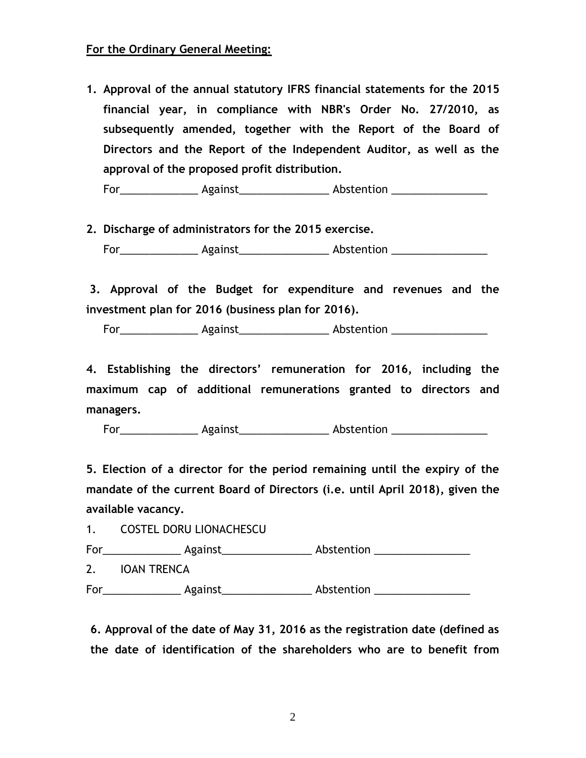## **For the Ordinary General Meeting:**

**1. Approval of the annual statutory IFRS financial statements for the 2015 financial year, in compliance with NBR's Order No. 27/2010, as subsequently amended, together with the Report of the Board of Directors and the Report of the Independent Auditor, as well as the approval of the proposed profit distribution.**

For Against Abstention

**2. Discharge of administrators for the 2015 exercise.** For\_\_\_\_\_\_\_\_\_\_\_\_\_\_\_\_\_\_ Against\_\_\_\_\_\_\_\_\_\_\_\_\_\_\_\_\_\_\_\_\_ Abstention \_\_\_\_\_\_\_\_\_\_\_\_\_\_\_\_\_\_

 **3. Approval of the Budget for expenditure and revenues and the investment plan for 2016 (business plan for 2016).**

For Regainst Against Abstention Abstraction Abstention

 **4. Establishing the directors' remuneration for 2016, including the maximum cap of additional remunerations granted to directors and managers.**

For\_\_\_\_\_\_\_\_\_\_\_\_\_\_\_\_\_\_\_ Against\_\_\_\_\_\_\_\_\_\_\_\_\_\_\_\_\_\_\_\_\_ Abstention \_\_\_\_\_\_\_\_\_\_\_\_\_\_\_\_\_

**5. Election of a director for the period remaining until the expiry of the mandate of the current Board of Directors (i.e. until April 2018), given the available vacancy.**

1. COSTEL DORU LIONACHESCU For\_\_\_\_\_\_\_\_\_\_\_\_\_\_\_\_\_\_\_ Against\_\_\_\_\_\_\_\_\_\_\_\_\_\_\_\_\_\_\_\_\_\_ Abstention \_\_\_\_\_\_\_\_\_\_\_\_\_\_\_\_ 2. IOAN TRENCA For Regainst Against Abstention Abstraction Abstention Abstention Abstention Apple and Abstention Apple and Abstention Apple and Apple and Apple and Apple and Apple and Apple and Apple and Apple and Apple and Apple and App

 **6. Approval of the date of May 31, 2016 as the registration date (defined as the date of identification of the shareholders who are to benefit from**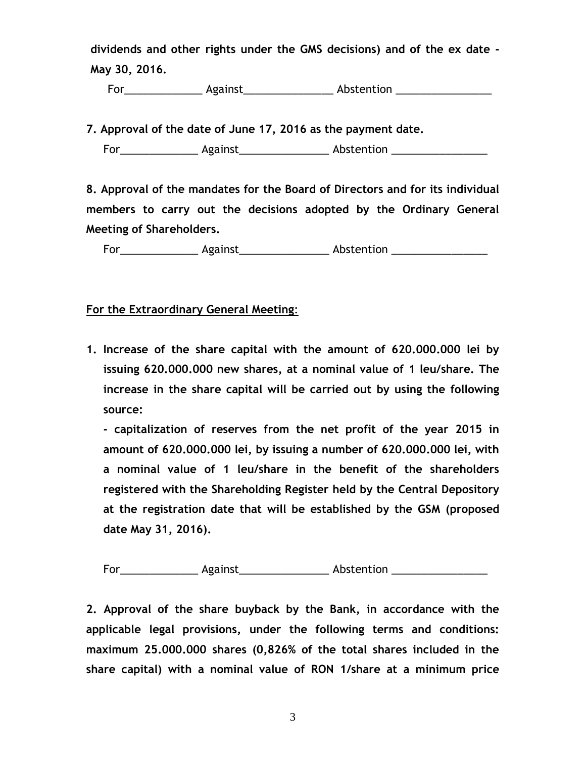**dividends and other rights under the GMS decisions) and of the ex date - May 30, 2016.**

**For\_\_\_\_\_\_\_\_\_\_\_\_\_\_\_\_\_ Against\_\_\_\_\_\_\_\_\_\_\_\_\_\_\_\_\_\_\_ Abstention \_\_\_\_\_\_\_\_\_\_\_\_\_\_\_\_\_\_\_\_** 

**7. Approval of the date of June 17, 2016 as the payment date.**

For Against Abstention

**8. Approval of the mandates for the Board of Directors and for its individual members to carry out the decisions adopted by the Ordinary General Meeting of Shareholders.**

For\_\_\_\_\_\_\_\_\_\_\_\_\_\_\_\_\_ Against\_\_\_\_\_\_\_\_\_\_\_\_\_\_\_\_\_\_\_ Abstention \_\_\_\_\_\_\_\_\_\_\_\_\_\_\_\_\_\_\_\_\_

**For the Extraordinary General Meeting**:

**1. Increase of the share capital with the amount of 620.000.000 lei by issuing 620.000.000 new shares, at a nominal value of 1 leu/share. The increase in the share capital will be carried out by using the following source:**

**- capitalization of reserves from the net profit of the year 2015 in amount of 620.000.000 lei, by issuing a number of 620.000.000 lei, with a nominal value of 1 leu/share in the benefit of the shareholders registered with the Shareholding Register held by the Central Depository at the registration date that will be established by the GSM (proposed date May 31, 2016).**

For Against Abstention

**2. Approval of the share buyback by the Bank, in accordance with the applicable legal provisions, under the following terms and conditions: maximum 25.000.000 shares (0,826% of the total shares included in the share capital) with a nominal value of RON 1/share at a minimum price**